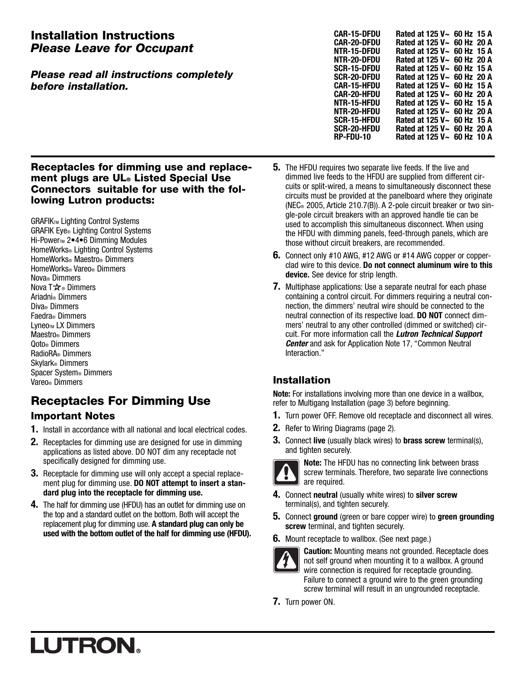## Installation Instructions Please Leave for Occupant

#### Please read all instructions completely before installation.

| CAR-15-DFDU | Rated at 125 V~ 60 Hz 15 A       |  |
|-------------|----------------------------------|--|
| CAR-20-DFDU | Rated at 125 V~ 60 Hz 20 A       |  |
| NTR-15-DFDU | Rated at 125 V~ 60 Hz 15 A       |  |
| NTR-20-DFDU | Rated at 125 V~ 60 Hz 20 A       |  |
| SCR-15-DFDU | Rated at 125 $V \sim 60$ Hz 15 A |  |
| SCR-20-DFDU | Rated at 125 V~ 60 Hz 20 A       |  |
| CAR-15-HFDU | Rated at 125 V~ 60 Hz 15 A       |  |
| CAR-20-HFDU | Rated at 125 $V \sim 60$ Hz 20 A |  |
| NTR-15-HFDU | Rated at 125 V~ 60 Hz 15 A       |  |
| NTR-20-HFDU | Rated at 125 $V \sim 60$ Hz 20 A |  |
| SCR-15-HFDU | Rated at 125 V~ 60 Hz 15 A       |  |
| SCR-20-HFDU | Rated at 125 V~ 60 Hz 20 A       |  |
| RP-FDU-10   | Rated at 125 V~ 60 Hz 10 A       |  |
|             |                                  |  |

#### Receptacles for dimming use and replacement plugs are UL® Listed Special Use Connectors suitable for use with the following Lutron products:

**GRAFIKTM Lighting Control Systems** GRAFIK Eye® Lighting Control Systems Hi-Power<sub>™</sub> 2•4•6 Dimming Modules HomeWorks® Lighting Control Systems HomeWorks® Maestro® Dimmers HomeWorks® Vareo® Dimmers Nova® Dimmers Nova T $\mathbf{\hat{\star}}$  Dimmers Ariadni® Dimmers Diva® Dimmers Faedra® Dimmers Lyneo<sub>TM</sub> LX Dimmers Maestro® Dimmers Qoto® Dimmers RadioRA® Dimmers Skylark® Dimmers Spacer System® Dimmers Vareo® Dimmers

## Receptacles For Dimming Use

## Important Notes

- **1.** Install in accordance with all national and local electrical codes.
- **2.** Receptacles for dimming use are designed for use in dimming applications as listed above. DO NOT dim any receptacle not specifically designed for dimming use.
- **3.** Receptacle for dimming use will only accept a special replacement plug for dimming use. **DO NOT attempt to insert a standard plug into the receptacle for dimming use.**
- **4.** The half for dimming use (HFDU) has an outlet for dimming use on the top and a standard outlet on the bottom. Both will accept the replacement plug for dimming use. **A standard plug can only be used with the bottom outlet of the half for dimming use (HFDU).**
- **5.** The HFDU requires two separate live feeds. If the live and dimmed live feeds to the HFDU are supplied from different circuits or split-wired, a means to simultaneously disconnect these circuits must be provided at the panelboard where they originate (NEC® 2005, Article 210.7(B)). A 2-pole circuit breaker or two single-pole circuit breakers with an approved handle tie can be used to accomplish this simultaneous disconnect. When using the HFDU with dimming panels, feed-through panels, which are those without circuit breakers, are recommended.
- **6.** Connect only #10 AWG, #12 AWG or #14 AWG copper or copperclad wire to this device. **Do not connect aluminum wire to this device.** See device for strip length.
- **7.** Multiphase applications: Use a separate neutral for each phase containing a control circuit. For dimmers requiring a neutral connection, the dimmers' neutral wire should be connected to the neutral connection of its respective load. **DO NOT** connect dimmers' neutral to any other controlled (dimmed or switched) circuit. For more information call the **Lutron Technical Support Center** and ask for Application Note 17, "Common Neutral Interaction."

## Installation

**Note:** For installations involving more than one device in a wallbox, refer to Multigang Installation (page 3) before beginning.

- **1.** Turn power OFF. Remove old receptacle and disconnect all wires.
- **2.** Refer to Wiring Diagrams (page 2).
- **3.** Connect **live** (usually black wires) to **brass screw** terminal(s), and tighten securely.



**Note:** The HFDU has no connecting link between brass screw terminals. Therefore, two separate live connections are required.

- **4.** Connect **neutral** (usually white wires) to **silver screw** terminal(s), and tighten securely.
- **5.** Connect **ground** (green or bare copper wire) to **green grounding screw** terminal, and tighten securely.
- **6.** Mount receptacle to wallbox. (See next page.)



**Caution:** Mounting means not grounded. Receptacle does not self ground when mounting it to a wallbox. A ground wire connection is required for receptacle grounding. Failure to connect a ground wire to the green grounding screw terminal will result in an ungrounded receptacle.

**7.** Turn power ON.

# **LUTRON**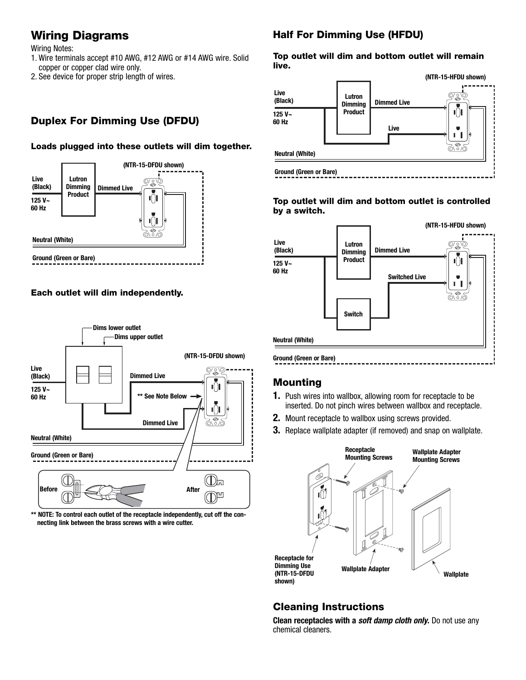## Wiring Diagrams

Wiring Notes:

- 1. Wire terminals accept #10 AWG, #12 AWG or #14 AWG wire. Solid copper or copper clad wire only.
- 2. See device for proper strip length of wires.

## Duplex For Dimming Use (DFDU)

#### Loads plugged into these outlets will dim together.



#### Each outlet will dim independently.



\*\* NOTE: To control each outlet of the receptacle independently, cut off the con**necting link between the brass screws with a wire cutter.**

## Half For Dimming Use (HFDU)

#### Top outlet will dim and bottom outlet will remain live.



#### Top outlet will dim and bottom outlet is controlled by a switch.



## Mounting

- **1.** Push wires into wallbox, allowing room for receptacle to be inserted. Do not pinch wires between wallbox and receptacle.
- **2.** Mount receptacle to wallbox using screws provided.
- **3.** Replace wallplate adapter (if removed) and snap on wallplate.



## Cleaning Instructions

**Clean receptacles with a soft damp cloth only.** Do not use any chemical cleaners.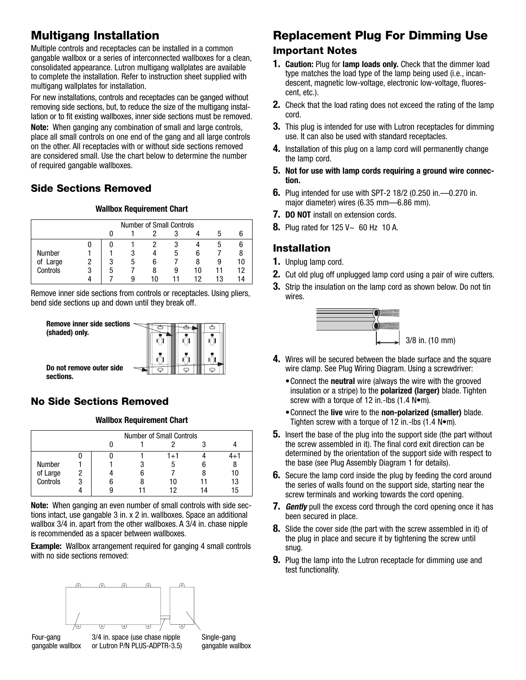## Multigang Installation

Multiple controls and receptacles can be installed in a common gangable wallbox or a series of interconnected wallboxes for a clean, consolidated appearance. Lutron multigang wallplates are available to complete the installation. Refer to instruction sheet supplied with multigang wallplates for installation.

For new installations, controls and receptacles can be ganged without removing side sections, but, to reduce the size of the multigang installation or to fit existing wallboxes, inner side sections must be removed.

**Note:** When ganging any combination of small and large controls, place all small controls on one end of the gang and all large controls on the other. All receptacles with or without side sections removed are considered small. Use the chart below to determine the number of required gangable wallboxes.

## Side Sections Removed

#### **Wallbox Requirement Chart**

|          | <b>Number of Small Controls</b> |    |    |    |    |    |    |  |
|----------|---------------------------------|----|----|----|----|----|----|--|
|          |                                 |    |    |    |    |    |    |  |
|          |                                 |    |    |    |    |    |    |  |
| Number   |                                 |    |    |    | :5 | h  |    |  |
| of Large |                                 | 3  | ۰h | 6  |    | 8  |    |  |
| Controls |                                 | :C |    | 8  | 9  | 10 |    |  |
|          |                                 |    |    | 10 |    | 19 | 13 |  |

Remove inner side sections from controls or receptacles. Using pliers, bend side sections up and down until they break off.



## No Side Sections Removed

#### **Wallbox Requirement Chart**

|          | <b>Number of Small Controls</b> |  |  |     |  |    |  |
|----------|---------------------------------|--|--|-----|--|----|--|
|          |                                 |  |  |     |  |    |  |
|          |                                 |  |  | 1+1 |  |    |  |
| Number   |                                 |  |  | n   |  |    |  |
| of Large |                                 |  |  |     |  |    |  |
| Controls |                                 |  |  | 11  |  |    |  |
|          |                                 |  |  |     |  | 'n |  |

**Note:** When ganging an even number of small controls with side sections intact, use gangable 3 in. x 2 in. wallboxes. Space an additional wallbox 3/4 in. apart from the other wallboxes. A 3/4 in. chase nipple is recommended as a spacer between wallboxes.

**Example:** Wallbox arrangement required for ganging 4 small controls with no side sections removed:



# Replacement Plug For Dimming Use

#### Important Notes

- **1. Caution:** Plug for **lamp loads only.** Check that the dimmer load type matches the load type of the lamp being used (i.e., incandescent, magnetic low-voltage, electronic low-voltage, fluorescent, etc.).
- **2.** Check that the load rating does not exceed the rating of the lamp cord.
- **3.** This plug is intended for use with Lutron receptacles for dimming use. It can also be used with standard receptacles.
- **4.** Installation of this plug on a lamp cord will permanently change the lamp cord.
- **5. Not for use with lamp cords requiring a ground wire connection.**
- **6.** Plug intended for use with SPT-2 18/2 (0.250 in.—0.270 in. major diameter) wires (6.35 mm—6.86 mm).
- **7. DO NOT** install on extension cords.
- **8.** Plug rated for 125 V~ 60 Hz 10 A.

### Installation

- **1.** Unplug lamp cord.
- **2.** Cut old plug off unplugged lamp cord using a pair of wire cutters.
- **3.** Strip the insulation on the lamp cord as shown below. Do not tin wires.



- **4.** Wires will be secured between the blade surface and the square wire clamp. See Plug Wiring Diagram. Using a screwdriver:
	- •Connect the **neutral** wire (always the wire with the grooved insulation or a stripe) to the **polarized (larger)** blade. Tighten screw with a torque of 12 in.-lbs (1.4 N•m).
	- •Connect the **live** wire to the **non-polarized (smaller)** blade. Tighten screw with a torque of 12 in.-lbs  $(1.4 \text{ N}\cdot\text{m})$ .
- **5.** Insert the base of the plug into the support side (the part without the screw assembled in it). The final cord exit direction can be determined by the orientation of the support side with respect to the base (see Plug Assembly Diagram 1 for details).
- **6.** Secure the lamp cord inside the plug by feeding the cord around the series of walls found on the support side, starting near the screw terminals and working towards the cord opening.
- **7.** *Gently* pull the excess cord through the cord opening once it has been secured in place.
- **8.** Slide the cover side (the part with the screw assembled in it) of the plug in place and secure it by tightening the screw until snug.
- **9.** Plug the lamp into the Lutron receptacle for dimming use and test functionality.